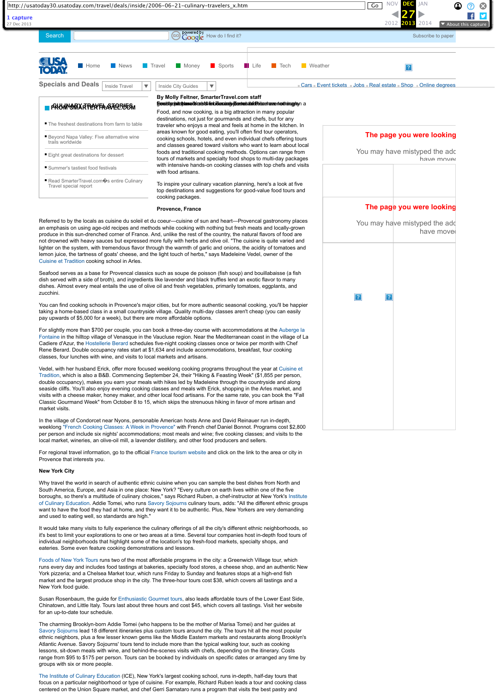For slightly more than \$700 per couple, you can book a three-day course with accommodations at the Auberge la [Fontaine in the hilltop village of Venasque in the Vaucluse region. Near the Mediterranean coast in the village of L](https://web.archive.org/web/20131227122603/http://www.auberge-lafontaine.com/)a Cadiere d'Azur, the [Hostellerie Berard](https://web.archive.org/web/20131227122603/http://www.hotel-berard.com/v2/gb/sommaire.php) schedules five-night cooking classes once or twice per month with Chef Rene Berard. Double occupancy rates start at \$1,634 and include accommodations, breakfast, four cooking classes, four lunches with wine, and visits to local markets and artisans.

[Vedel, with her husband Erick, offer more focused weeklong cooking programs throughout the year at Cuisine et](https://web.archive.org/web/20131227122603/http://www.cuisineprovencale.com/) Tradition, which is also a B&B. Commencing September 24, their "Hiking & Feasting Week" (\$1,855 per person, double occupancy), makes you earn your meals with hikes led by Madeleine through the countryside and along seaside cliffs. You'll also enjoy evening cooking classes and meals with Erick, shopping in the Arles market, and visits with a cheese maker, honey maker, and other local food artisans. For the same rate, you can book the "Fall

| http://usatoday30.usatoday.com/travel/deals/inside/2006-06-21-culinary-travelers_x.htm                                                                                                                                                                                                                                                                                                                                                                                       |                                                                                                                                                                                                                                                                                                                                                             | <b>NOV</b><br><b>DEC</b><br><b>JAN</b><br>Co<br>$\boldsymbol{\Omega}$ |
|------------------------------------------------------------------------------------------------------------------------------------------------------------------------------------------------------------------------------------------------------------------------------------------------------------------------------------------------------------------------------------------------------------------------------------------------------------------------------|-------------------------------------------------------------------------------------------------------------------------------------------------------------------------------------------------------------------------------------------------------------------------------------------------------------------------------------------------------------|-----------------------------------------------------------------------|
|                                                                                                                                                                                                                                                                                                                                                                                                                                                                              |                                                                                                                                                                                                                                                                                                                                                             | 2012<br>2014<br>2013<br>$\blacktriangleright$ About this capture      |
| Search                                                                                                                                                                                                                                                                                                                                                                                                                                                                       | Powered by How do I find it?<br>ED                                                                                                                                                                                                                                                                                                                          | Subscribe to paper                                                    |
| News<br><b>Home</b>                                                                                                                                                                                                                                                                                                                                                                                                                                                          | Sports<br>Money<br>$\blacksquare$ Life<br><b>Neather</b><br><b>Travel</b><br>$\blacksquare$ Tech                                                                                                                                                                                                                                                            |                                                                       |
| <b>Specials and Deals</b><br>Inside Travel                                                                                                                                                                                                                                                                                                                                                                                                                                   | v<br><b>Inside City Guides</b><br>$\overline{\mathbf{v}}$                                                                                                                                                                                                                                                                                                   | Cars Event tickets Jobs Real estate Shop Online degrees               |
| <b>HARA HARYER ARAMBANG TARA</b><br>■ The freshest destinations from farm to table                                                                                                                                                                                                                                                                                                                                                                                           | By Molly Feltner, SmarterTravel.com staff<br>from stychological modern and a form of the state of the state of the form of the form of the form of the form<br>Food, and now cooking, is a big attraction in many popular<br>destinations, not just for gourmands and chefs, but for any<br>traveler who enjoys a meal and feels at home in the kitchen. In |                                                                       |
| <b>Beyond Napa Valley: Five alternative wine</b><br>trails worldwide                                                                                                                                                                                                                                                                                                                                                                                                         | areas known for good eating, you'll often find tour operators,<br>cooking schools, hotels, and even individual chefs offering tours<br>and classes geared toward visitors who want to learn about local                                                                                                                                                     | The page you were looking                                             |
| Eight great destinations for dessert                                                                                                                                                                                                                                                                                                                                                                                                                                         | foods and traditional cooking methods. Options can range from<br>tours of markets and specialty food shops to multi-day packages                                                                                                                                                                                                                            | You may have mistyped the adc<br>have mover                           |
| Summer's tastiest food festivals                                                                                                                                                                                                                                                                                                                                                                                                                                             | with intensive hands-on cooking classes with top chefs and visits<br>with food artisans.                                                                                                                                                                                                                                                                    |                                                                       |
| Read SmarterTravel.com $\hat{\mathbf{v}}$ s entire Culinary<br>Travel special report                                                                                                                                                                                                                                                                                                                                                                                         | To inspire your culinary vacation planning, here's a look at five<br>top destinations and suggestions for good-value food tours and<br>cooking packages.                                                                                                                                                                                                    |                                                                       |
|                                                                                                                                                                                                                                                                                                                                                                                                                                                                              | <b>Provence, France</b>                                                                                                                                                                                                                                                                                                                                     | The page you were looking                                             |
| Referred to by the locals as cuisine du soleil et du coeur—cuisine of sun and heart—Provencal gastronomy places<br>an emphasis on using age-old recipes and methods while cooking with nothing but fresh meats and locally-grown<br>produce in this sun-drenched corner of France. And, unlike the rest of the country, the natural flavors of food are<br>not drowned with heavy sauces but expressed more fully with herbs and olive oil. "The cuisine is quite varied and |                                                                                                                                                                                                                                                                                                                                                             | You may have mistyped the add<br>have move                            |
| Cuisine et Tradition cooking school in Arles.                                                                                                                                                                                                                                                                                                                                                                                                                                | lighter on the system, with tremendous flavor through the warmth of garlic and onions, the acidity of tomatoes and<br>lemon juice, the tartness of goats' cheese, and the light touch of herbs," says Madeleine Vedel, owner of the                                                                                                                         |                                                                       |
| zucchini.                                                                                                                                                                                                                                                                                                                                                                                                                                                                    | Seafood serves as a base for Provencal classics such as soupe de poisson (fish soup) and bouillabaisse (a fish<br>dish served with a side of broth), and ingredients like lavender and black truffles lend an exotic flavor to many<br>dishes. Almost every meal entails the use of olive oil and fresh vegetables, primarily tomatoes, eggplants, and      |                                                                       |
| pay upwards of \$5,000 for a week), but there are more affordable options.                                                                                                                                                                                                                                                                                                                                                                                                   | You can find cooking schools in Provence's major cities, but for more authentic seasonal cooking, you'll be happier<br>taking a home-based class in a small countryside village. Quality multi-day classes aren't cheap (you can easily                                                                                                                     |                                                                       |
|                                                                                                                                                                                                                                                                                                                                                                                                                                                                              | For slightly more than \$700 per couple, you can book a three-day course with accommodations at the Auberge la                                                                                                                                                                                                                                              |                                                                       |

Classic Gourmand Week" from October 8 to 15, which skips the strenuous hiking in favor of more artisan and market visits.

In the village of Condorcet near Nyons, personable American hosts Anne and David Reinauer run in-depth, weeklong ["French Cooking Classes: A Week in Provence"](https://web.archive.org/web/20131227122603/http://www.frenchcookingclasses.com/) with French chef Daniel Bonnot. Programs cost \$2,800 per person and include six nights' accommodations; most meals and wine; five cooking classes; and visits to the local market, wineries, an olive-oil mill, a lavender distillery, and other food producers and sellers.

For regional travel information, go to the official [France tourism website](https://web.archive.org/web/20131227122603/http://us.franceguide.com/regions/region.asp?z1=7Lsk31dn&idr=25) and click on the link to the area or city in Provence that interests you.

## **New York City**

Why travel the world in search of authentic ethnic cuisine when you can sample the best dishes from North and South America, Europe, and Asia in one place: New York? "Every culture on earth lives within one of the five [boroughs, so there's a multitude of culinary choices," says Richard Ruben, a chef-instructor at New York's Institute](https://web.archive.org/web/20131227122603/http://www.iceculinary.com/recreational/walking_tours.shtml) of Culinary Education. Addie Tomei, who runs [Savory Sojourns](https://web.archive.org/web/20131227122603/http://www.savorysojourns.com/index.htm) culinary tours, adds: "All the different ethnic groups want to have the food they had at home, and they want it to be authentic. Plus, New Yorkers are very demanding and used to eating well, so standards are high."

It would take many visits to fully experience the culinary offerings of all the city's different ethnic neighborhoods, so it's best to limit your explorations to one or two areas at a time. Several tour companies host in-depth food tours of individual neighborhoods that highlight some of the location's top fresh-food markets, specialty shops, and eateries. Some even feature cooking demonstrations and lessons.

[Foods of New York Tours](https://web.archive.org/web/20131227122603/http://www.foodsofny.com/) runs two of the most affordable programs in the city: a Greenwich Village tour, which runs every day and includes food tastings at bakeries, specialty food stores, a cheese shop, and an authentic New York pizzeria; and a Chelsea Market tour, which runs Friday to Sunday and features stops at a high-end fish market and the largest produce shop in the city. The three-hour tours cost \$38, which covers all tastings and a New York food guide.

Susan Rosenbaum, the guide for [Enthusiastic Gourmet tours,](https://web.archive.org/web/20131227122603/http://www.enthusiasticgourmet.com/) also leads affordable tours of the Lower East Side, Chinatown, and Little Italy. Tours last about three hours and cost \$45, which covers all tastings. Visit her website for an up-to-date tour schedule.

The charming Brooklyn-born Addie Tomei (who happens to be the mother of Marisa Tomei) and her guides at [Savory Sojourns](https://web.archive.org/web/20131227122603/http://www.savorysojourns.com/index.htm) lead 18 different itineraries plus custom tours around the city. The tours hit all the most popular ethnic neighbors, plus a few lesser known gems like the Middle Eastern markets and restaurants along Brooklyn's Atlantic Avenue. Savory Sojourns' tours tend to include more than the typical walking tour, such as cooking lessons, sit-down meals with wine, and behind-the-scenes visits with chefs, depending on the itinerary. Costs range from \$95 to \$175 per person. Tours can be booked by individuals on specific dates or arranged any time by groups with six or more people.

[The Institute of Culinary Education](https://web.archive.org/web/20131227122603/http://www.iceculinary.com/recreational/walking_tours.shtml) (ICE), New York's largest cooking school, runs in-depth, half-day tours that focus on a particular neighborhood or type of cuisine. For example, Richard Ruben leads a tour and cooking class centered on the Union Square market, and chef Gerri Sarnataro runs a program that visits the best pastry and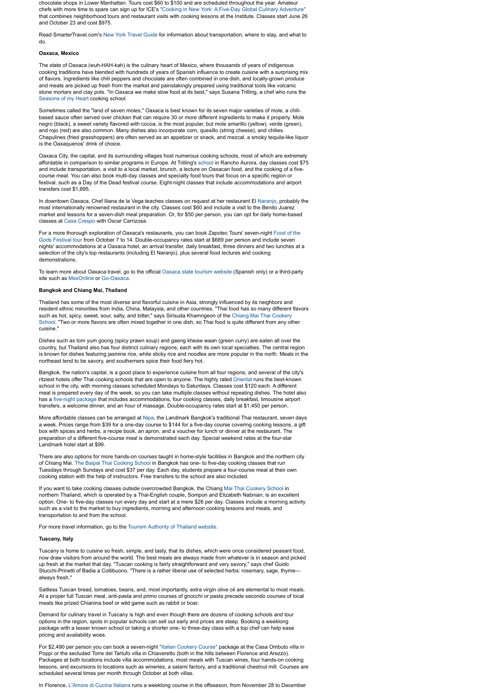chocolate shops in Lower Manhattan. Tours cost \$60 to \$100 and are scheduled throughout the year. Amateur chefs with more time to spare can sign up for ICE'[s "Cooking in New York: A Five-Day Global Culinary Adventure"](https://web.archive.org/web/20131227122603/http://www.iceculinary.com/recreational/Cooking_NewYork.shtml) that combines neighborhood tours and restaurant visits with cooking lessons at the Institute. Classes start June 26 and October 23 and cost \$975.

Read SmarterTravel.com's [New York Travel Guide](https://web.archive.org/web/20131227122603/http://www.smartertravel.com/travel-guides/new-york-city-travel-guide.html?id=974) for information about transportation, where to stay, and what to do.

## **Oaxaca, Mexico**

The state of Oaxaca (wuh-HAH-kah) is the culinary heart of Mexico, where thousands of years of indigenous cooking traditions have blended with hundreds of years of Spanish influence to create cuisine with a surprising mix of flavors. Ingredients like chili peppers and chocolate are often combined in one dish, and locally-grown produce and meats are picked up fresh from the market and painstakingly prepared using traditional tools like volcanic stone mortars and clay pots. "In Oaxaca we make slow food at its best," says Susana Trilling, a chef who runs the [Seasons of my Heart](https://web.archive.org/web/20131227122603/http://www.seasonsofmyheart.com/default.htm) cooking school.

Sometimes called the "land of seven moles," Oaxaca is best known for its seven major varieties of mole, a chilibased sauce often served over chicken that can require 30 or more different ingredients to make it properly. Mole negro (black), a sweet variety flavored with cocoa, is the most popular, but mole amarillo (yellow), verde (green), and rojo (red) are also common. Many dishes also incorporate corn, quesillo (string cheese), and chilies. Chapulines (fried grasshoppers) are often served as an appetizer or snack, and mezcal, a smoky tequila-like liquor is the Oaxaquenos' drink of choice.

Oaxaca City, the capital, and its surrounding villages host numerous cooking schools, most of which are extremely affordable in comparison to similar programs in Europe. At Trilling's [school](https://web.archive.org/web/20131227122603/http://www.seasonsofmyheart.com/default.htm) in Rancho Aurora, day classes cost \$75 and include transportation, a visit to a local market, brunch, a lecture on Oaxacan food, and the cooking of a fivecourse meal. You can also book multi-day classes and specialty food tours that focus on a specific region or festival, such as a Day of the Dead festival course. Eight-night classes that include accommodations and airport transfers cost \$1,695.

In downtown Oaxaca, Chef Iliana de la Vega teaches classes on request at her restaurant El [Naranjo,](https://web.archive.org/web/20131227122603/http://elnaranjo.com.mx/oaxaca/ingles.html) probably the most internationally renowned restaurant in the city. Classes cost \$60 and include a visit to the Benito Juarez market and lessons for a seven-dish meal preparation. Or, for \$50 per person, you can opt for daily home-based classes at [Casa Crespo](https://web.archive.org/web/20131227122603/http://www.casacrespo.com/cookingclasses.html) with Oscar Carrizosa.

More affordable classes can be arranged at [Nipa](https://web.archive.org/web/20131227122603/http://www.landmarkbangkok.com/dining_nipa.html), the Landmark Bangkok's traditional Thai restaurant, seven days a week. Prices range from \$39 for a one-day course to \$144 for a five-day course covering cooking lessons, a gift box with spices and herbs, a recipe book, an apron, and a voucher for lunch or dinner at the restaurant. The preparation of a different five-course meal is demonstrated each day. Special weekend rates at the four-star Landmark hotel start at \$99.

[For a more thorough exploration of Oaxaca's restaurants, you can book Zapotec Tours' seven-night Food of the](https://web.archive.org/web/20131227122603/http://www.food-of-the-gods-festival.com/) Gods Festival tour from October 7 to 14. Double-occupancy rates start at \$689 per person and include seven nights' accommodations at a Oaxaca hotel, an arrival transfer, daily breakfast, three dinners and two lunches at a selection of the city's top restaurants (including El Naranjo), plus several food lectures and cooking demonstrations.

To learn more about Oaxaca travel, go to the official [Oaxaca state tourism website](https://web.archive.org/web/20131227122603/http://www.aoaxaca.com/oaini.php) (Spanish only) or a third-party site such as [MexOnline](https://web.archive.org/web/20131227122603/http://www.mexonline.com/cityguide-oaxaca.htm) or [Go-Oaxaca.](https://web.archive.org/web/20131227122603/http://www.go-oaxaca.com/)

## **Bangkok and Chiang Mai, Thailand**

Thailand has some of the most diverse and flavorful cuisine in Asia, strongly influenced by its neighbors and resident ethnic minorities from India, China, Malaysia, and other countries. "Thai food has so many different flavors such as hot, spicy, sweet, sour, salty, and bitter," says Sirisuda Khamngeon of the Chiang Mai Thai Cookery [School. "Two or more flavors are often mixed together in one dish, so Thai food is quite different from any ot](https://web.archive.org/web/20131227122603/http://www.thaicookeryschool.com/)her cuisine."

Dishes such as tom yum goong (spicy prawn soup) and gaeng kheaw waan (green curry) are eaten all over the country, but Thailand also has four distinct culinary regions, each with its own local specialties. The central region is known for dishes featuring jasmine rice, while sticky rice and noodles are more popular in the north. Meals in the northeast tend to be savory, and southerners spice their food fiery hot.

Bangkok, the nation's capital, is a good place to experience cuisine from all four regions, and several of the city's ritziest hotels offer Thai cooking schools that are open to anyone. The highly rated [Oriental](https://web.archive.org/web/20131227122603/http://www.mandarinoriental.com/hotel/510000260.asp) runs the best-known school in the city, with morning classes scheduled Mondays to Saturdays. Classes cost \$120 each. A different meal is prepared every day of the week, so you can take multiple classes without repeating dishes. The hotel also has a [five-night package](https://web.archive.org/web/20131227122603/http://www.mandarinoriental.com/hotel/510000357.asp) that includes accommodations, four cooking classes, daily breakfast, limousine airport transfers, a welcome dinner, and an hour of massage. Double-occupancy rates start at \$1,450 per person.

There are also options for more hands-on courses taught in home-style facilities in Bangkok and the northern city of Chiang Mai. [The Baipai Thai Cooking School](https://web.archive.org/web/20131227122603/http://www.baipai.com/) in Bangkok has one- to five-day cooking classes that run Tuesdays through Sundays and cost \$37 per day. Each day, students prepare a four-course meal at their own cooking station with the help of instructors. Free transfers to the school are also included.

If you want to take cooking classes outside overcrowded Bangkok, the Chiang [Mai Thai Cookery School](https://web.archive.org/web/20131227122603/http://www.thaicookeryschool.com/) in northern Thailand, which is operated by a Thai-English couple, Sompon and Elizabeth Nabnian, is an excellent option. One- to five-day classes run every day and start at a mere \$26 per day. Classes include a morning activity such as a visit to the market to buy ingredients, morning and afternoon cooking lessons and meals, and transportation to and from the school.

For more travel information, go to the [Tourism Authority of Thailand website](https://web.archive.org/web/20131227122603/http://www.tourismthailand.org/).

## **Tuscany, Italy**

Tuscany is home to cuisine so fresh, simple, and tasty, that its dishes, which were once considered peasant food, now draw visitors from around the world. The best meals are always made from whatever is in season and picked up fresh at the market that day. "Tuscan cooking is fairly straightforward and very savory," says chef Guido Stucchi-Prinetti of Badia a Coltibuono. "There is a rather liberal use of selected herbs: rosemary, sage, thyme always fresh."

Saltless Tuscan bread, tomatoes, beans, and, most importantly, extra virgin olive oil are elemental to most meals. At a proper full Tuscan meal, anti-pasta and primo courses of gnocchi or pasta precede secondo courses of local meats like prized Chianina beef or wild game such as rabbit or boar.

Demand for culinary travel in Tuscany is high and even though there are dozens of cooking schools and tour options in the region, spots in popular schools can sell out early and prices are steep. Booking a weeklong package with a lesser known school or taking a shorter one- to three-day class with a top chef can help ease pricing and availability woes.

For \$2,490 per person you can book a seven-night ["Italian Cookery Course"](https://web.archive.org/web/20131227122603/http://www.italiancookerycourse.com/index2.html) package at the Casa Ombuto villa in Poppi or the secluded Torre del Tartufo villa in Chiaveretto (both in the hills between Florence and Arezzo). Packages at both locations include villa accommodations, most meals with Tuscan wines, four hands-on cooking lessons, and excursions to locations such as wineries, a salami factory, and a traditional chestnut mill. Courses are scheduled several times per month through October at both villas.

In Florence, [L'Amore di Cucina Italiana](https://web.archive.org/web/20131227122603/http://www.cookeuro.com/tuscany.html) runs a weeklong course in the offseason, from November 28 to December